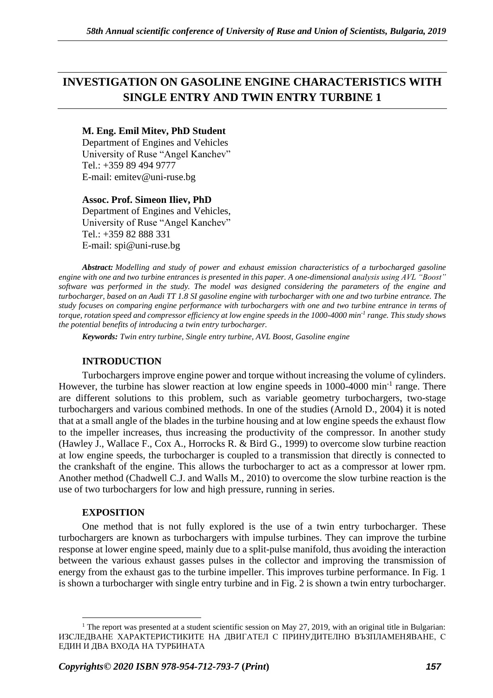# **INVESTIGATION ON GASOLINE ENGINE CHARACTERISTICS WITH SINGLE ENTRY AND TWIN ENTRY TURBINE 1**

## **M. Eng. Emil Mitev, PhD Student**

Department of Engines and Vehicles University of Ruse "Angel Kanchev" Tel.: +359 89 494 9777 E-mail: emitev@uni-ruse.bg

### **Assoc. Prof. Simeon Iliev, PhD**

Department of Engines and Vehicles, University of Ruse "Angel Kanchev" Tel.: +359 82 888 331 Е-mail: [spi@uni-ruse.bg](mailto:spi@uni-ruse.bg)

*Abstract: Modelling and study of power and exhaust emission characteristics of a turbocharged gasoline engine with one and two turbine entrances is presented in this paper. A one-dimensional analysis using AVL "Boost" software was performed in the study. The model was designed considering the parameters of the engine and turbocharger, based on an Audi TT 1.8 SI gasoline engine with turbocharger with one and two turbine entrance. The study focuses on comparing engine performance with turbochargers with one and two turbine entrance in terms of torque, rotation speed and compressor efficiency at low engine speeds in the 1000-4000 min-1 range. This study shows the potential benefits of introducing a twin entry turbocharger.*

*Keywords: Twin entry turbine, Single entry turbine, AVL Boost, Gasoline engine*

## **INTRODUCTION**

Turbochargers improve engine power and torque without increasing the volume of cylinders. However, the turbine has slower reaction at low engine speeds in 1000-4000 min<sup>-1</sup> range. There are different solutions to this problem, such as variable geometry turbochargers, two-stage turbochargers and various combined methods. In one of the studies (Arnold D., 2004) it is noted that at a small angle of the blades in the turbine housing and at low engine speeds the exhaust flow to the impeller increases, thus increasing the productivity of the compressor. In another study (Hawley J., Wallace F., Cox A., Horrocks R. & Bird G., 1999) to overcome slow turbine reaction at low engine speeds, the turbocharger is coupled to a transmission that directly is connected to the crankshaft of the engine. This allows the turbocharger to act as a compressor at lower rpm. Another method (Chadwell C.J. and Walls M., 2010) to overcome the slow turbine reaction is the use of two turbochargers for low and high pressure, running in series.

#### **EXPOSITION**

One method that is not fully explored is the use of a twin entry turbocharger. These turbochargers are known as turbochargers with impulse turbines. They can improve the turbine response at lower engine speed, mainly due to a split-pulse manifold, thus avoiding the interaction between the various exhaust gasses pulses in the collector and improving the transmission of energy from the exhaust gas to the turbine impeller. This improves turbine performance. In Fig. 1 is shown a turbocharger with single entry turbine and in Fig. 2 is shown a twin entry turbocharger.

<sup>&</sup>lt;sup>1</sup> The report was presented at a student scientific session on May 27, 2019, with an original title in Bulgarian: ИЗСЛЕДВАНЕ ХАРАКТЕРИСТИКИТЕ НА ДВИГАТЕЛ С ПРИНУДИТЕЛНО ВЪЗПЛАМЕНЯВАНЕ, С ЕДИН И ДВА ВХОДА НА ТУРБИНАТА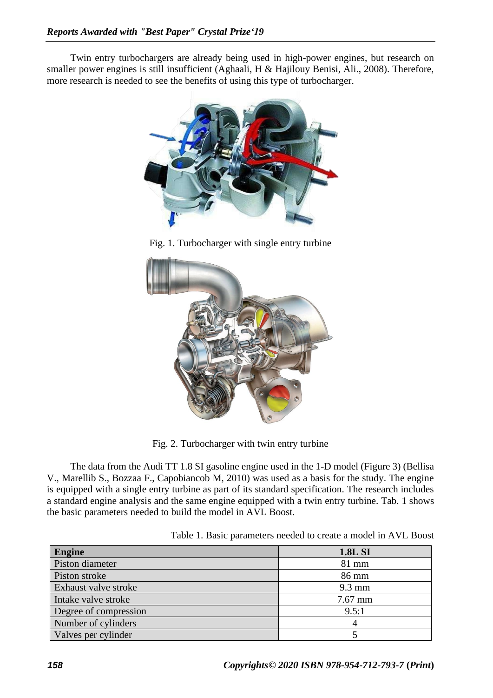Twin entry turbochargers are already being used in high-power engines, but research on smaller power engines is still insufficient (Aghaali, H & Hajilouy Benisi, Ali., 2008). Therefore, more research is needed to see the benefits of using this type of turbocharger.



Fig. 1. Turbocharger with single entry turbine



Fig. 2. Turbocharger with twin entry turbine

The data from the Audi TT 1.8 SI gasoline engine used in the 1-D model (Figure 3) (Bellisa V., Marellib S., Bozzaa F., Capobiancob M, 2010) was used as a basis for the study. The engine is equipped with a single entry turbine as part of its standard specification. The research includes a standard engine analysis and the same engine equipped with a twin entry turbine. Tab. 1 shows the basic parameters needed to build the model in AVL Boost.

Table 1. Basic parameters needed to create a model in AVL Boost

| Engine                | <b>1.8L SI</b>   |
|-----------------------|------------------|
| Piston diameter       | $81$ mm          |
| Piston stroke         | 86 mm            |
| Exhaust valve stroke  | $9.3 \text{ mm}$ |
| Intake valve stroke   | 7.67 mm          |
| Degree of compression | 9.5:1            |
| Number of cylinders   |                  |
| Valves per cylinder   |                  |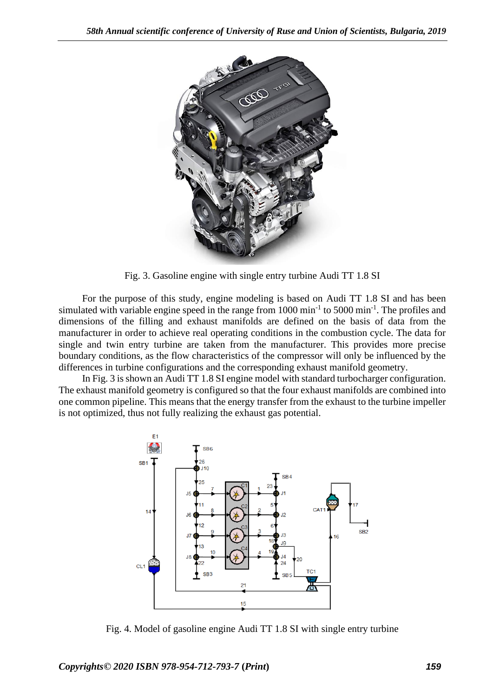

Fig. 3. Gasoline engine with single entry turbine Audi TT 1.8 SI

For the purpose of this study, engine modeling is based on Audi TT 1.8 SI and has been simulated with variable engine speed in the range from  $1000 \text{ min}^{-1}$  to  $5000 \text{ min}^{-1}$ . The profiles and dimensions of the filling and exhaust manifolds are defined on the basis of data from the manufacturer in order to achieve real operating conditions in the combustion cycle. The data for single and twin entry turbine are taken from the manufacturer. This provides more precise boundary conditions, as the flow characteristics of the compressor will only be influenced by the differences in turbine configurations and the corresponding exhaust manifold geometry.

In Fig. 3 is shown an Audi TT 1.8 SI engine model with standard turbocharger configuration. The exhaust manifold geometry is configured so that the four exhaust manifolds are combined into one common pipeline. This means that the energy transfer from the exhaust to the turbine impeller is not optimized, thus not fully realizing the exhaust gas potential.



Fig. 4. Model of gasoline engine Audi TT 1.8 SI with single entry turbine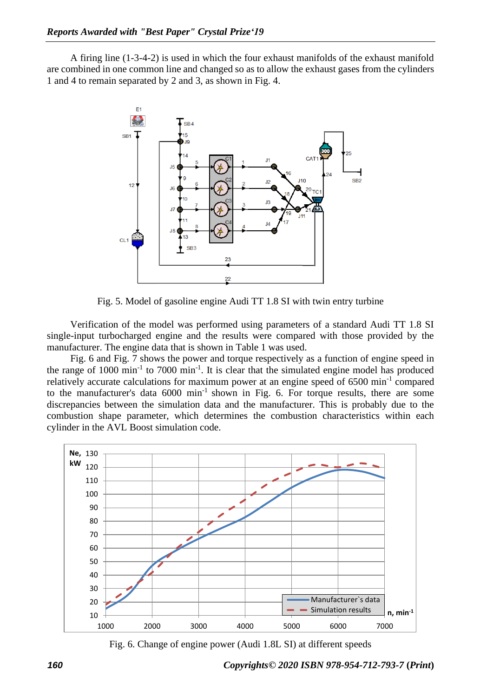A firing line (1-3-4-2) is used in which the four exhaust manifolds of the exhaust manifold are combined in one common line and changed so as to allow the exhaust gases from the cylinders 1 and 4 to remain separated by 2 and 3, as shown in Fig. 4.



Fig. 5. Model of gasoline engine Audi TT 1.8 SI with twin entry turbine

Verification of the model was performed using parameters of a standard Audi TT 1.8 SI single-input turbocharged engine and the results were compared with those provided by the manufacturer. The engine data that is shown in Table 1 was used.

Fig. 6 and Fig. 7 shows the power and torque respectively as a function of engine speed in the range of  $1000 \text{ min}^{-1}$  to  $7000 \text{ min}^{-1}$ . It is clear that the simulated engine model has produced relatively accurate calculations for maximum power at an engine speed of 6500 min<sup>-1</sup> compared to the manufacturer's data  $6000 \text{ min}^{-1}$  shown in Fig. 6. For torque results, there are some discrepancies between the simulation data and the manufacturer. This is probably due to the combustion shape parameter, which determines the combustion characteristics within each cylinder in the AVL Boost simulation code.



Fig. 6. Change of engine power (Audi 1.8L SI) at different speeds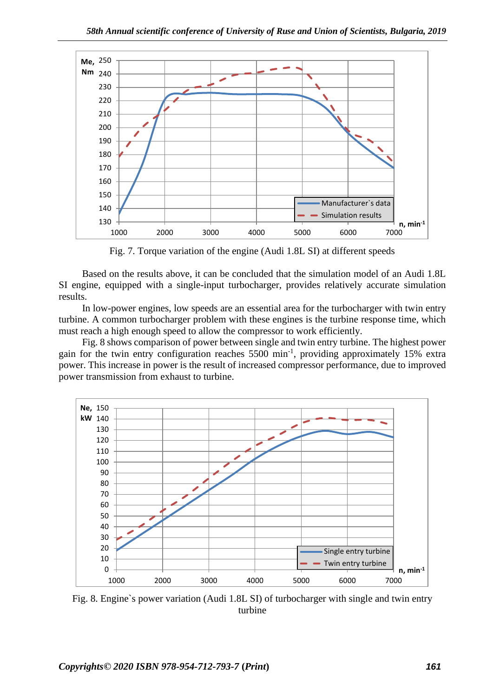

Fig. 7. Torque variation of the engine (Audi 1.8L SI) at different speeds

Based on the results above, it can be concluded that the simulation model of an Audi 1.8L SI engine, equipped with a single-input turbocharger, provides relatively accurate simulation results.

In low-power engines, low speeds are an essential area for the turbocharger with twin entry turbine. A common turbocharger problem with these engines is the turbine response time, which must reach a high enough speed to allow the compressor to work efficiently.

Fig. 8 shows comparison of power between single and twin entry turbine. The highest power gain for the twin entry configuration reaches 5500 min<sup>-1</sup>, providing approximately 15% extra power. This increase in power is the result of increased compressor performance, due to improved power transmission from exhaust to turbine.



Fig. 8. Engine`s power variation (Audi 1.8L SI) of turbocharger with single and twin entry turbine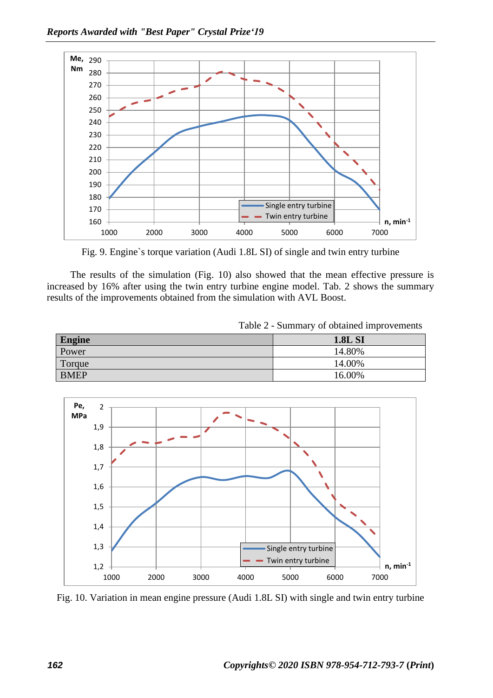

Fig. 9. Engine`s torque variation (Audi 1.8L SI) of single and twin entry turbine

The results of the simulation (Fig. 10) also showed that the mean effective pressure is increased by 16% after using the twin entry turbine engine model. Tab. 2 shows the summary results of the improvements obtained from the simulation with AVL Boost.

| <b>Engine</b> | <b>1.8L SI</b> |
|---------------|----------------|
| Power         | 14.80%         |
| Torque        | 14.00%         |
| <b>BMEP</b>   | 16.00%         |



Fig. 10. Variation in mean engine pressure (Audi 1.8L SI) with single and twin entry turbine